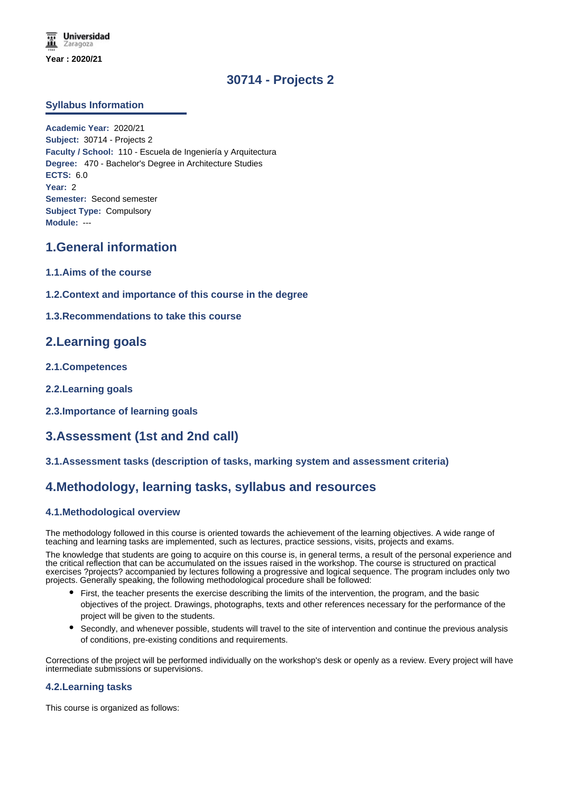# **30714 - Projects 2**

## **Syllabus Information**

**Academic Year:** 2020/21 **Subject:** 30714 - Projects 2 **Faculty / School:** 110 - Escuela de Ingeniería y Arquitectura **Degree:** 470 - Bachelor's Degree in Architecture Studies **ECTS:** 6.0 **Year:** 2 **Semester:** Second semester **Subject Type:** Compulsory **Module:** ---

## **1.General information**

- **1.1.Aims of the course**
- **1.2.Context and importance of this course in the degree**
- **1.3.Recommendations to take this course**

## **2.Learning goals**

- **2.1.Competences**
- **2.2.Learning goals**
- **2.3.Importance of learning goals**

# **3.Assessment (1st and 2nd call)**

### **3.1.Assessment tasks (description of tasks, marking system and assessment criteria)**

## **4.Methodology, learning tasks, syllabus and resources**

### **4.1.Methodological overview**

The methodology followed in this course is oriented towards the achievement of the learning objectives. A wide range of teaching and learning tasks are implemented, such as lectures, practice sessions, visits, projects and exams.

The knowledge that students are going to acquire on this course is, in general terms, a result of the personal experience and the critical reflection that can be accumulated on the issues raised in the workshop. The course is structured on practical exercises ?projects? accompanied by lectures following a progressive and logical sequence. The program includes only two projects. Generally speaking, the following methodological procedure shall be followed:

- First, the teacher presents the exercise describing the limits of the intervention, the program, and the basic objectives of the project. Drawings, photographs, texts and other references necessary for the performance of the project will be given to the students.
- Secondly, and whenever possible, students will travel to the site of intervention and continue the previous analysis of conditions, pre-existing conditions and requirements.

Corrections of the project will be performed individually on the workshop's desk or openly as a review. Every project will have intermediate submissions or supervisions.

### **4.2.Learning tasks**

This course is organized as follows: